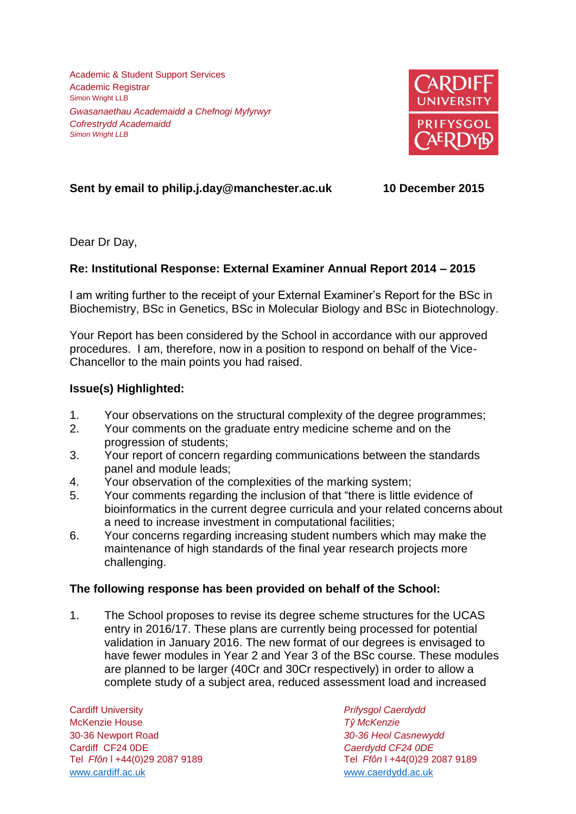Academic & Student Support Services Academic Registrar Simon Wright LLB *Gwasanaethau Academaidd a Chefnogi Myfyrwyr Cofrestrydd Academaidd Simon Wright LLB*



# **Sent by email to philip.j.day@manchester.ac.uk 10 December 2015**

Dear Dr Day,

## **Re: Institutional Response: External Examiner Annual Report 2014 – 2015**

I am writing further to the receipt of your External Examiner's Report for the BSc in Biochemistry, BSc in Genetics, BSc in Molecular Biology and BSc in Biotechnology.

Your Report has been considered by the School in accordance with our approved procedures. I am, therefore, now in a position to respond on behalf of the Vice-Chancellor to the main points you had raised.

### **Issue(s) Highlighted:**

- 1. Your observations on the structural complexity of the degree programmes;
- 2. Your comments on the graduate entry medicine scheme and on the progression of students;
- 3. Your report of concern regarding communications between the standards panel and module leads;
- 4. Your observation of the complexities of the marking system;
- 5. Your comments regarding the inclusion of that "there is little evidence of bioinformatics in the current degree curricula and your related concerns about a need to increase investment in computational facilities;
- 6. Your concerns regarding increasing student numbers which may make the maintenance of high standards of the final year research projects more challenging.

### **The following response has been provided on behalf of the School:**

1. The School proposes to revise its degree scheme structures for the UCAS entry in 2016/17. These plans are currently being processed for potential validation in January 2016. The new format of our degrees is envisaged to have fewer modules in Year 2 and Year 3 of the BSc course. These modules are planned to be larger (40Cr and 30Cr respectively) in order to allow a complete study of a subject area, reduced assessment load and increased

Cardiff University *Prifysgol Caerdydd* McKenzie House *Tŷ McKenzie* 30-36 Newport Road *30-36 Heol Casnewydd* Cardiff CF24 0DE *Caerdydd CF24 0DE* [www.cardiff.ac.uk](http://www.cardiff.ac.uk/) www.cardiff.ac.uk

Tel *Ffôn* l +44(0)29 2087 9189 Tel *Ffôn* l +44(0)29 2087 9189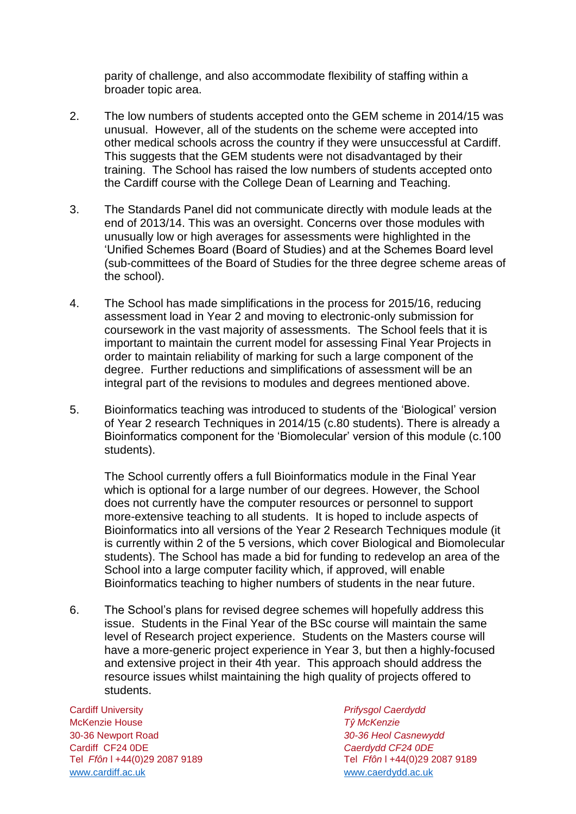parity of challenge, and also accommodate flexibility of staffing within a broader topic area.

- 2. The low numbers of students accepted onto the GEM scheme in 2014/15 was unusual. However, all of the students on the scheme were accepted into other medical schools across the country if they were unsuccessful at Cardiff. This suggests that the GEM students were not disadvantaged by their training. The School has raised the low numbers of students accepted onto the Cardiff course with the College Dean of Learning and Teaching.
- 3. The Standards Panel did not communicate directly with module leads at the end of 2013/14. This was an oversight. Concerns over those modules with unusually low or high averages for assessments were highlighted in the 'Unified Schemes Board (Board of Studies) and at the Schemes Board level (sub-committees of the Board of Studies for the three degree scheme areas of the school).
- 4. The School has made simplifications in the process for 2015/16, reducing assessment load in Year 2 and moving to electronic-only submission for coursework in the vast majority of assessments. The School feels that it is important to maintain the current model for assessing Final Year Projects in order to maintain reliability of marking for such a large component of the degree. Further reductions and simplifications of assessment will be an integral part of the revisions to modules and degrees mentioned above.
- 5. Bioinformatics teaching was introduced to students of the 'Biological' version of Year 2 research Techniques in 2014/15 (c.80 students). There is already a Bioinformatics component for the 'Biomolecular' version of this module (c.100 students).

The School currently offers a full Bioinformatics module in the Final Year which is optional for a large number of our degrees. However, the School does not currently have the computer resources or personnel to support more-extensive teaching to all students. It is hoped to include aspects of Bioinformatics into all versions of the Year 2 Research Techniques module (it is currently within 2 of the 5 versions, which cover Biological and Biomolecular students). The School has made a bid for funding to redevelop an area of the School into a large computer facility which, if approved, will enable Bioinformatics teaching to higher numbers of students in the near future.

6. The School's plans for revised degree schemes will hopefully address this issue. Students in the Final Year of the BSc course will maintain the same level of Research project experience. Students on the Masters course will have a more-generic project experience in Year 3, but then a highly-focused and extensive project in their 4th year. This approach should address the resource issues whilst maintaining the high quality of projects offered to students.

Cardiff University *Prifysgol Caerdydd* McKenzie House *Tŷ McKenzie* 30-36 Newport Road *30-36 Heol Casnewydd* Tel *Ffôn* l +44(0)29 2087 9189 Tel *Ffôn* l +44(0)29 2087 9189 [www.cardiff.ac.uk](http://www.cardiff.ac.uk/) www.cardiff.ac.uk

Cardiff CF24 0DE *Caerdydd CF24 0DE*